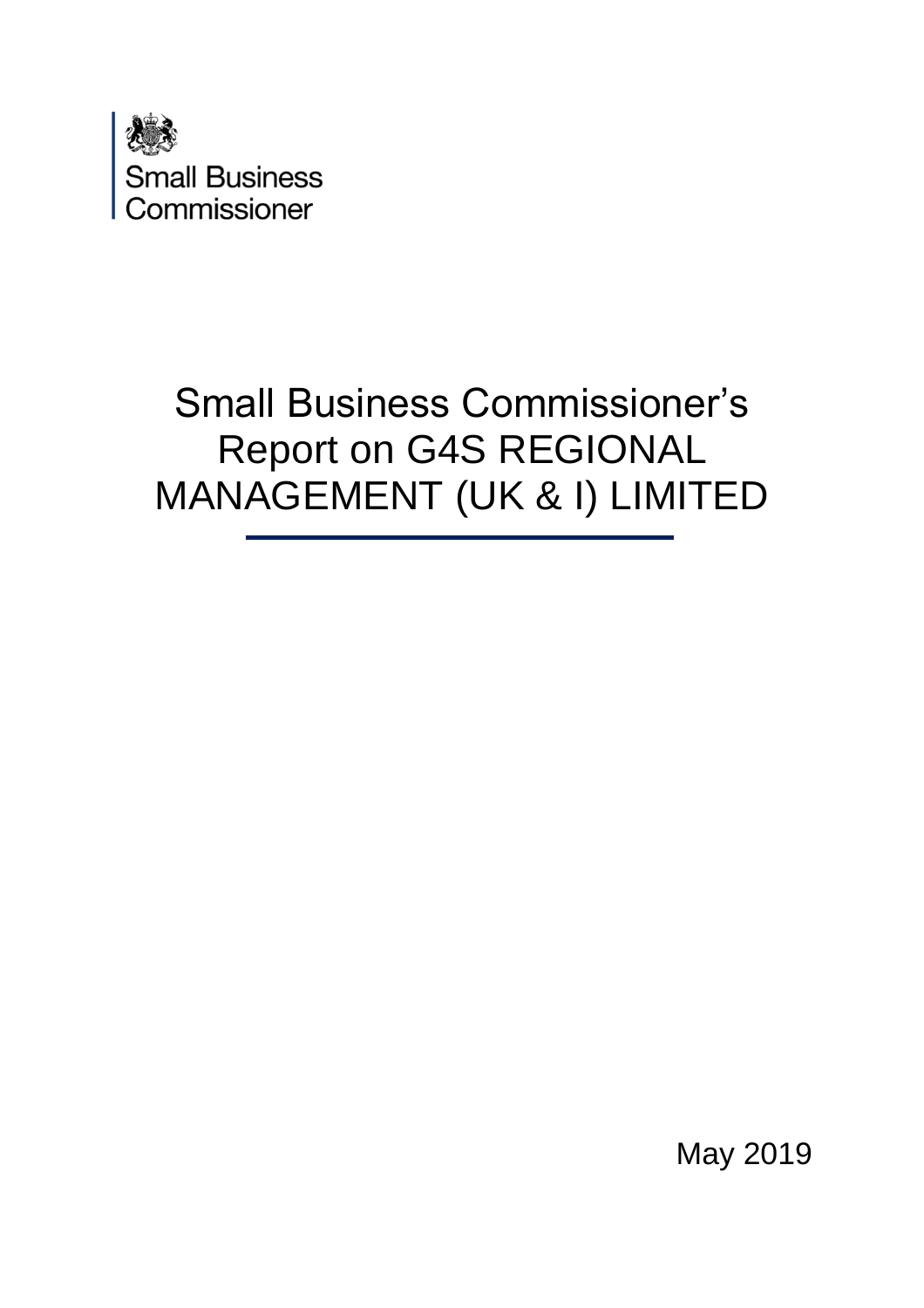

# Small Business Commissioner's Report on G4S REGIONAL MANAGEMENT (UK & I) LIMITED

May 2019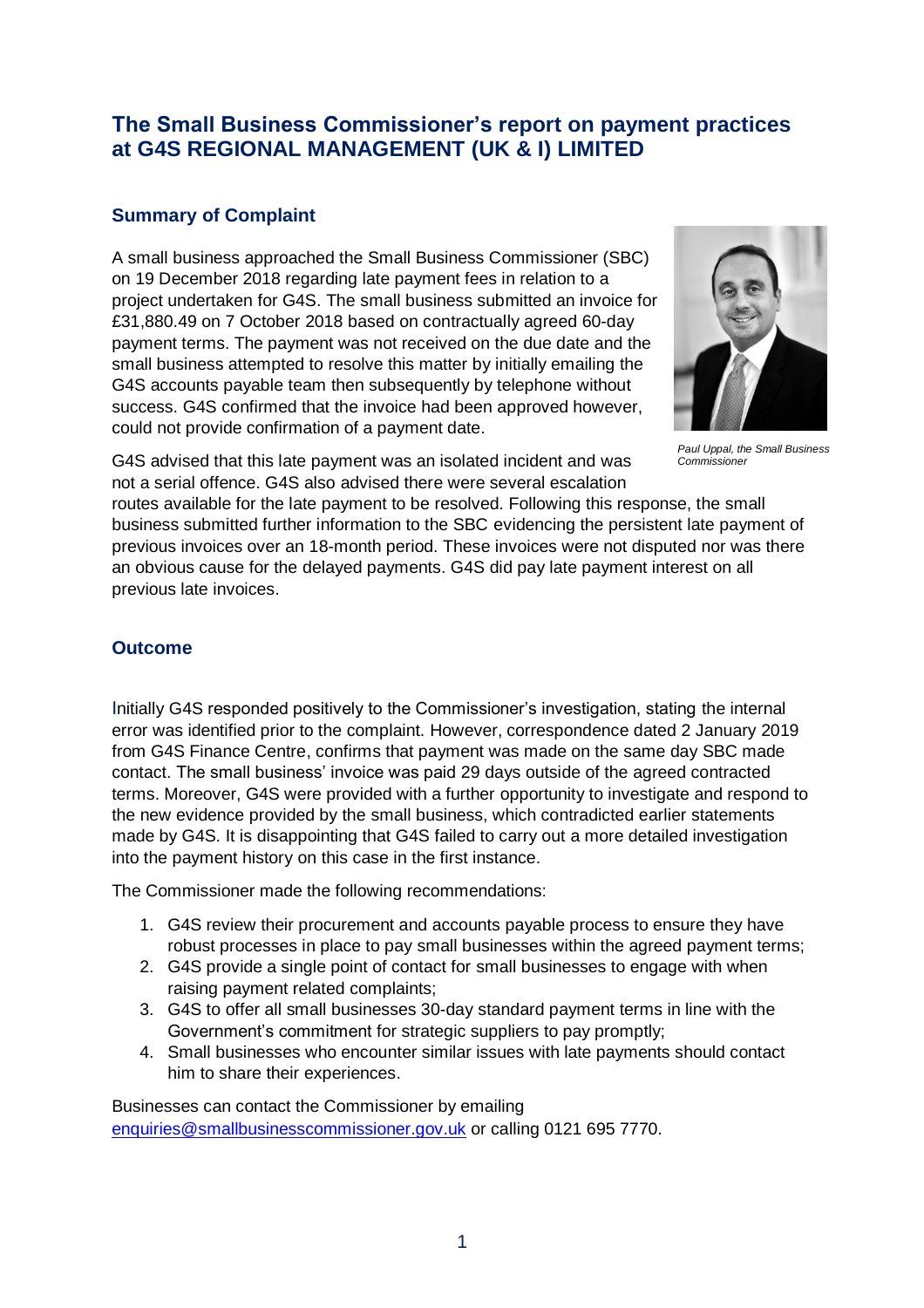# **The Small Business Commissioner's report on payment practices at G4S REGIONAL MANAGEMENT (UK & I) LIMITED**

## **Summary of Complaint**

A small business approached the Small Business Commissioner (SBC) on 19 December 2018 regarding late payment fees in relation to a project undertaken for G4S. The small business submitted an invoice for £31,880.49 on 7 October 2018 based on contractually agreed 60-day payment terms. The payment was not received on the due date and the small business attempted to resolve this matter by initially emailing the G4S accounts payable team then subsequently by telephone without success. G4S confirmed that the invoice had been approved however, could not provide confirmation of a payment date.



*Paul Uppal, the Small Business Commissioner*

G4S advised that this late payment was an isolated incident and was not a serial offence. G4S also advised there were several escalation

routes available for the late payment to be resolved. Following this response, the small business submitted further information to the SBC evidencing the persistent late payment of previous invoices over an 18-month period. These invoices were not disputed nor was there an obvious cause for the delayed payments. G4S did pay late payment interest on all previous late invoices.

## **Outcome**

Initially G4S responded positively to the Commissioner's investigation, stating the internal error was identified prior to the complaint. However, correspondence dated 2 January 2019 from G4S Finance Centre, confirms that payment was made on the same day SBC made contact. The small business' invoice was paid 29 days outside of the agreed contracted terms. Moreover, G4S were provided with a further opportunity to investigate and respond to the new evidence provided by the small business, which contradicted earlier statements made by G4S. It is disappointing that G4S failed to carry out a more detailed investigation into the payment history on this case in the first instance.

The Commissioner made the following recommendations:

- 1. G4S review their procurement and accounts payable process to ensure they have robust processes in place to pay small businesses within the agreed payment terms;
- 2. G4S provide a single point of contact for small businesses to engage with when raising payment related complaints;
- 3. G4S to offer all small businesses 30-day standard payment terms in line with the Government's commitment for strategic suppliers to pay promptly;
- 4. Small businesses who encounter similar issues with late payments should contact him to share their experiences.

Businesses can contact the Commissioner by emailing [enquiries@smallbusinesscommissioner.gov.uk](mailto:enquiries@smallbusinesscommissioner.gov.uk) or calling 0121 695 7770.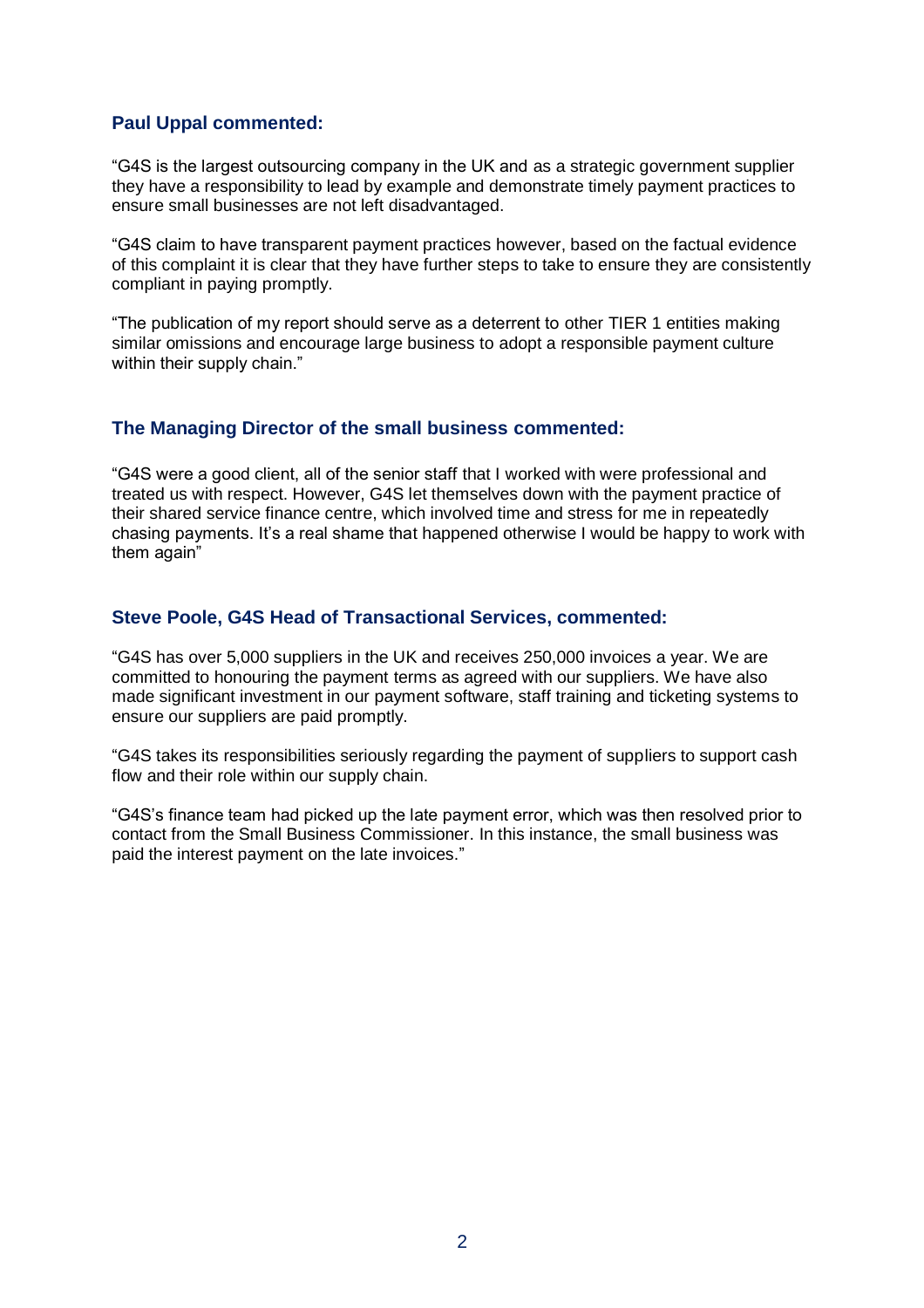### **Paul Uppal commented:**

"G4S is the largest outsourcing company in the UK and as a strategic government supplier they have a responsibility to lead by example and demonstrate timely payment practices to ensure small businesses are not left disadvantaged.

"G4S claim to have transparent payment practices however, based on the factual evidence of this complaint it is clear that they have further steps to take to ensure they are consistently compliant in paying promptly.

"The publication of my report should serve as a deterrent to other TIER 1 entities making similar omissions and encourage large business to adopt a responsible payment culture within their supply chain."

#### **The Managing Director of the small business commented:**

"G4S were a good client, all of the senior staff that I worked with were professional and treated us with respect. However, G4S let themselves down with the payment practice of their shared service finance centre, which involved time and stress for me in repeatedly chasing payments. It's a real shame that happened otherwise I would be happy to work with them again"

#### **Steve Poole, G4S Head of Transactional Services, commented:**

"G4S has over 5,000 suppliers in the UK and receives 250,000 invoices a year. We are committed to honouring the payment terms as agreed with our suppliers. We have also made significant investment in our payment software, staff training and ticketing systems to ensure our suppliers are paid promptly.

"G4S takes its responsibilities seriously regarding the payment of suppliers to support cash flow and their role within our supply chain.

"G4S's finance team had picked up the late payment error, which was then resolved prior to contact from the Small Business Commissioner. In this instance, the small business was paid the interest payment on the late invoices."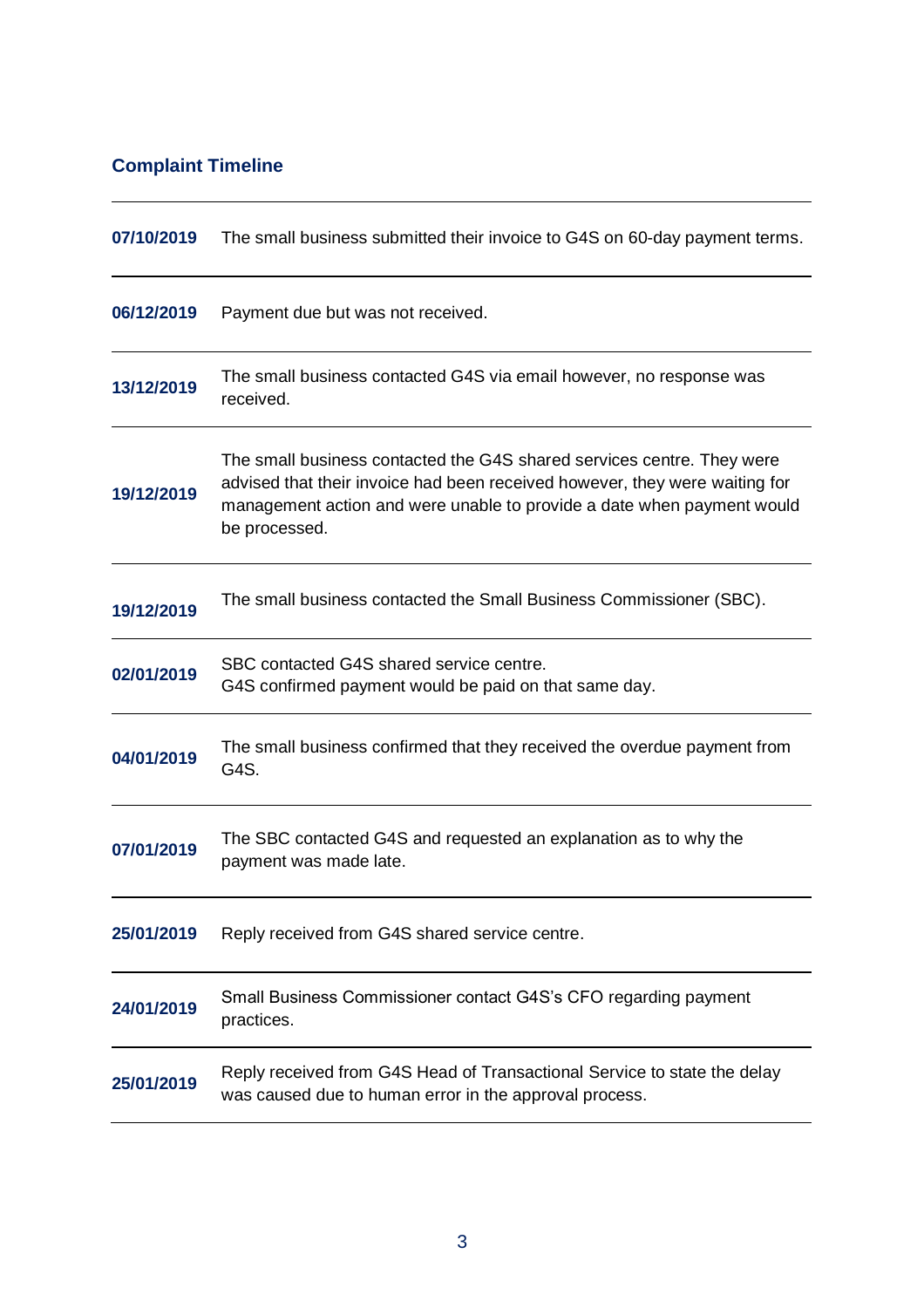# **Complaint Timeline**

| 07/10/2019 | The small business submitted their invoice to G4S on 60-day payment terms.                                                                                                                                                                       |  |
|------------|--------------------------------------------------------------------------------------------------------------------------------------------------------------------------------------------------------------------------------------------------|--|
| 06/12/2019 | Payment due but was not received.                                                                                                                                                                                                                |  |
| 13/12/2019 | The small business contacted G4S via email however, no response was<br>received.                                                                                                                                                                 |  |
| 19/12/2019 | The small business contacted the G4S shared services centre. They were<br>advised that their invoice had been received however, they were waiting for<br>management action and were unable to provide a date when payment would<br>be processed. |  |
| 19/12/2019 | The small business contacted the Small Business Commissioner (SBC).                                                                                                                                                                              |  |
| 02/01/2019 | SBC contacted G4S shared service centre.<br>G4S confirmed payment would be paid on that same day.                                                                                                                                                |  |
| 04/01/2019 | The small business confirmed that they received the overdue payment from<br>G4S.                                                                                                                                                                 |  |
| 07/01/2019 | The SBC contacted G4S and requested an explanation as to why the<br>payment was made late.                                                                                                                                                       |  |
| 25/01/2019 | Reply received from G4S shared service centre.                                                                                                                                                                                                   |  |
| 24/01/2019 | Small Business Commissioner contact G4S's CFO regarding payment<br>practices.                                                                                                                                                                    |  |
| 25/01/2019 | Reply received from G4S Head of Transactional Service to state the delay<br>was caused due to human error in the approval process.                                                                                                               |  |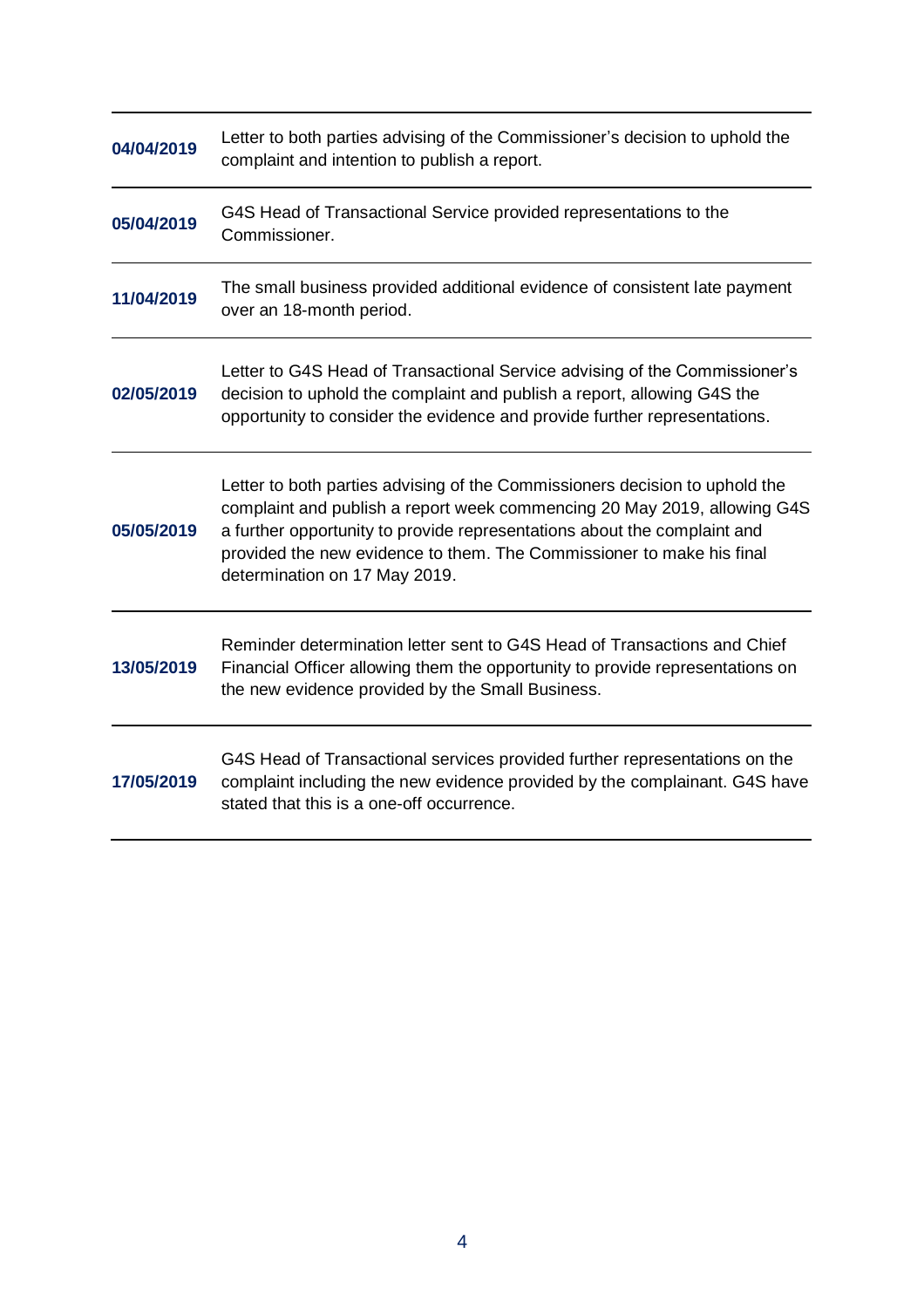| 04/04/2019 | Letter to both parties advising of the Commissioner's decision to uphold the<br>complaint and intention to publish a report.                                                                                                                                                                                                                  |  |
|------------|-----------------------------------------------------------------------------------------------------------------------------------------------------------------------------------------------------------------------------------------------------------------------------------------------------------------------------------------------|--|
| 05/04/2019 | G4S Head of Transactional Service provided representations to the<br>Commissioner.                                                                                                                                                                                                                                                            |  |
| 11/04/2019 | The small business provided additional evidence of consistent late payment<br>over an 18-month period.                                                                                                                                                                                                                                        |  |
| 02/05/2019 | Letter to G4S Head of Transactional Service advising of the Commissioner's<br>decision to uphold the complaint and publish a report, allowing G4S the<br>opportunity to consider the evidence and provide further representations.                                                                                                            |  |
| 05/05/2019 | Letter to both parties advising of the Commissioners decision to uphold the<br>complaint and publish a report week commencing 20 May 2019, allowing G4S<br>a further opportunity to provide representations about the complaint and<br>provided the new evidence to them. The Commissioner to make his final<br>determination on 17 May 2019. |  |
| 13/05/2019 | Reminder determination letter sent to G4S Head of Transactions and Chief<br>Financial Officer allowing them the opportunity to provide representations on<br>the new evidence provided by the Small Business.                                                                                                                                 |  |
| 17/05/2019 | G4S Head of Transactional services provided further representations on the<br>complaint including the new evidence provided by the complainant. G4S have<br>stated that this is a one-off occurrence.                                                                                                                                         |  |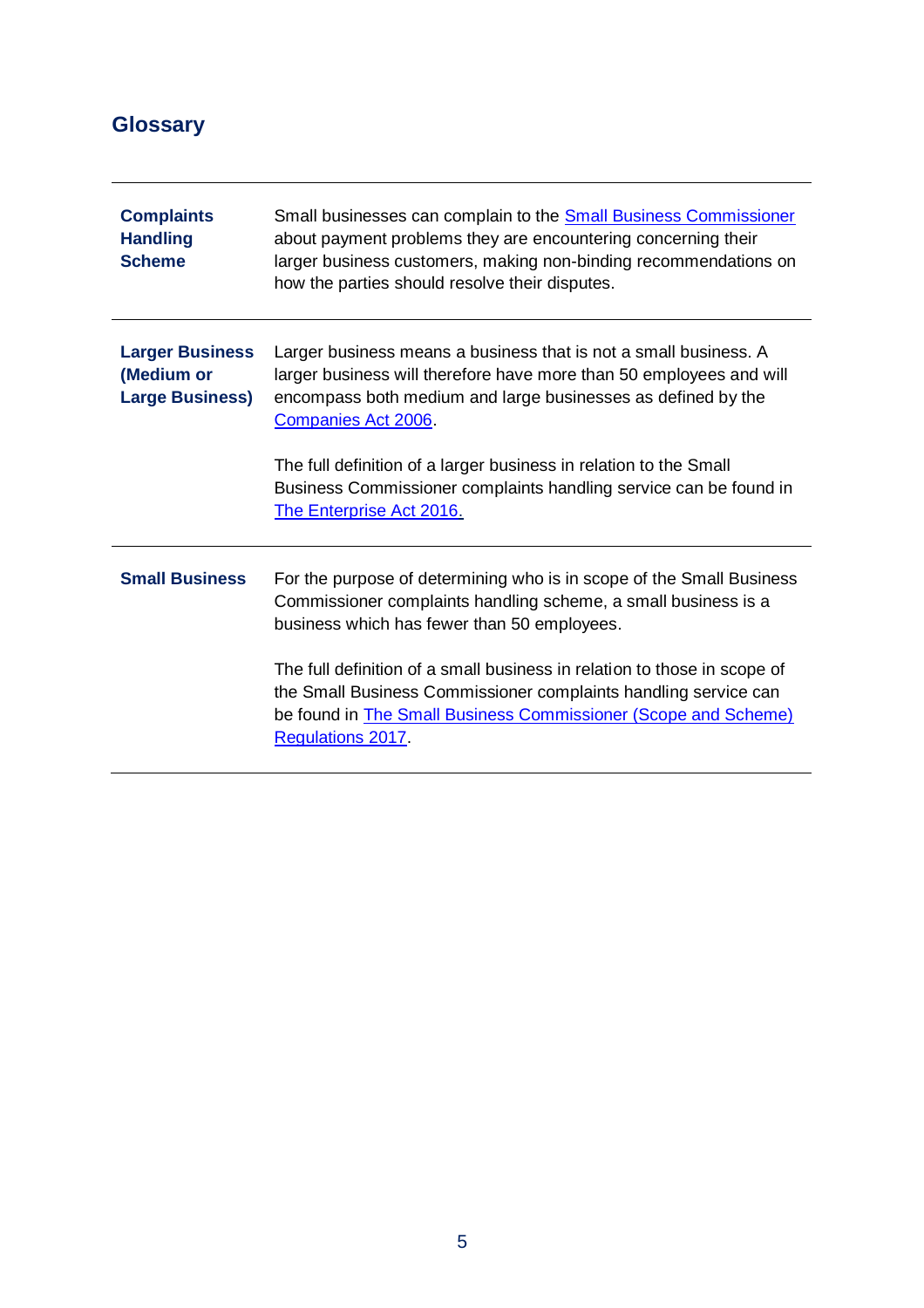# **Glossary**

| <b>Complaints</b><br><b>Handling</b><br><b>Scheme</b>          | Small businesses can complain to the <b>Small Business Commissioner</b><br>about payment problems they are encountering concerning their<br>larger business customers, making non-binding recommendations on<br>how the parties should resolve their disputes.                                                                                                                                                                    |
|----------------------------------------------------------------|-----------------------------------------------------------------------------------------------------------------------------------------------------------------------------------------------------------------------------------------------------------------------------------------------------------------------------------------------------------------------------------------------------------------------------------|
| <b>Larger Business</b><br>(Medium or<br><b>Large Business)</b> | Larger business means a business that is not a small business. A<br>larger business will therefore have more than 50 employees and will<br>encompass both medium and large businesses as defined by the<br>Companies Act 2006.<br>The full definition of a larger business in relation to the Small<br>Business Commissioner complaints handling service can be found in<br><b>The Enterprise Act 2016.</b>                       |
| <b>Small Business</b>                                          | For the purpose of determining who is in scope of the Small Business<br>Commissioner complaints handling scheme, a small business is a<br>business which has fewer than 50 employees.<br>The full definition of a small business in relation to those in scope of<br>the Small Business Commissioner complaints handling service can<br>be found in <b>The Small Business Commissioner (Scope and Scheme)</b><br>Regulations 2017 |